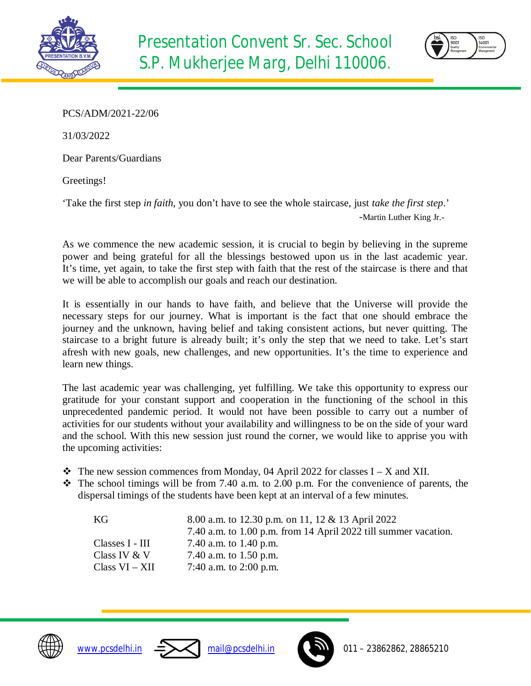



PCS/ADM/2021-22/06

31/03/2022

Dear Parents/Guardians

Greetings!

'Take the first step *in faith*, you don't have to see the whole staircase, just *take the first step*.'

-Martin Luther King Jr.-

As we commence the new academic session, it is crucial to begin by believing in the supreme power and being grateful for all the blessings bestowed upon us in the last academic year. It's time, yet again, to take the first step with faith that the rest of the staircase is there and that we will be able to accomplish our goals and reach our destination.

It is essentially in our hands to have faith, and believe that the Universe will provide the necessary steps for our journey. What is important is the fact that one should embrace the journey and the unknown, having belief and taking consistent actions, but never quitting. The staircase to a bright future is already built; it's only the step that we need to take. Let's start afresh with new goals, new challenges, and new opportunities. It's the time to experience and learn new things.

The last academic year was challenging, yet fulfilling. We take this opportunity to express our gratitude for your constant support and cooperation in the functioning of the school in this unprecedented pandemic period. It would not have been possible to carry out a number of activities for our students without your availability and willingness to be on the side of your ward and the school. With this new session just round the corner, we would like to apprise you with the upcoming activities:

- $\triangleleft$  The new session commences from Monday, 04 April 2022 for classes I X and XII.
- $\cdot \cdot$  The school timings will be from 7.40 a.m. to 2.00 p.m. For the convenience of parents, the dispersal timings of the students have been kept at an interval of a few minutes.

| KG              | 8.00 a.m. to 12.30 p.m. on 11, 12 & 13 April 2022               |
|-----------------|-----------------------------------------------------------------|
|                 | 7.40 a.m. to 1.00 p.m. from 14 April 2022 till summer vacation. |
| Classes I - III | 7.40 a.m. to 1.40 p.m.                                          |
| Class IV & V    | 7.40 a.m. to $1.50$ p.m.                                        |
| Class VI – XII  | 7:40 a.m. to 2:00 p.m.                                          |